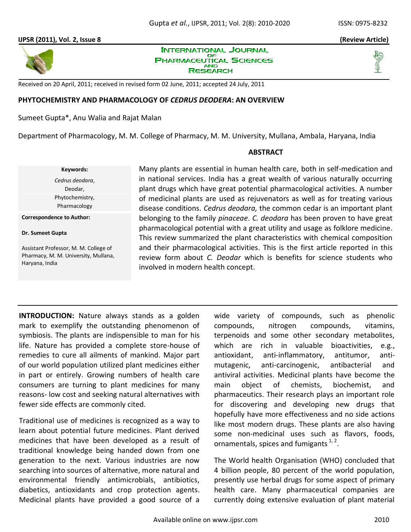

**INTERNATIONAL JOURNAL** OF **PHARMACEUTICAL SCIENCES AND** RESEARCH



Received on 20 April, 2011; received in revised form 02 June, 2011; accepted 24 July, 2011

### **PHYTOCHEMISTRY AND PHARMACOLOGY OF** *CEDRUS DEODERA***: AN OVERVIEW**

Sumeet Gupta\*, Anu Walia and Rajat Malan

Department of Pharmacology, M. M. College of Pharmacy, M. M. University, Mullana, Ambala, Haryana, India

### **ABSTRACT**

**Keywords:** *Cedrus deodara*, Deodar, Phytochemistry, Pharmacology

**Correspondence to Author:**

#### **Dr. Sumeet Gupta**

Assistant Professor, M. M. College of Pharmacy, M. M. University, Mullana, Haryana, India

Many plants are essential in human health care, both in self-medication and in national services. India has a great wealth of various naturally occurring plant drugs which have great potential pharmacological activities. A number of medicinal plants are used as rejuvenators as well as for treating various disease conditions. *Cedrus deodara,* the common cedar is an important plant belonging to the family *pinaceae*. *C. deodara* has been proven to have great pharmacological potential with a great utility and usage as folklore medicine. This review summarized the plant characteristics with chemical composition and their pharmacological activities. This is the first article reported in this review form about *C. Deodar* which is benefits for science students who involved in modern health concept.

**INTRODUCTION:** Nature always stands as a golden mark to exemplify the outstanding phenomenon of symbiosis. The plants are indispensible to man for his life. Nature has provided a complete store-house of remedies to cure all ailments of mankind. Major part of our world population utilized plant medicines either in part or entirely. Growing numbers of health care consumers are turning to plant medicines for many reasons- low cost and seeking natural alternatives with fewer side effects are commonly cited.

Traditional use of medicines is recognized as a way to learn about potential future medicines. Plant derived medicines that have been developed as a result of traditional knowledge being handed down from one generation to the next. Various industries are now searching into sources of alternative, more natural and environmental friendly antimicrobials, antibiotics, diabetics, antioxidants and crop protection agents. Medicinal plants have provided a good source of a

wide variety of compounds, such as phenolic compounds, nitrogen compounds, vitamins, terpenoids and some other secondary metabolites, which are rich in valuable bioactivities, e.g., antioxidant, anti-inflammatory, antitumor, antimutagenic, anti-carcinogenic, antibacterial and antiviral activities. Medicinal plants have become the main object of chemists, biochemist, and pharmaceutics. Their research plays an important role for discovering and developing new drugs that hopefully have more effectiveness and no side actions like most modern drugs. These plants are also having some non-medicinal uses such as flavors, foods, ornamentals, spices and fumigants  $1, 2$ .

The World health Organisation (WHO) concluded that 4 billion people, 80 percent of the world population, presently use herbal drugs for some aspect of primary health care. Many pharmaceutical companies are currently doing extensive evaluation of plant material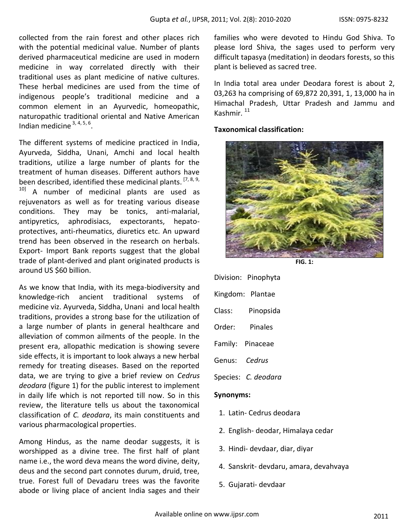collected from the rain forest and other places rich with the potential medicinal value. Number of plants derived pharmaceutical medicine are used in modern medicine in way correlated directly with their traditional uses as plant medicine of native cultures. These herbal medicines are used from the time of indigenous people's traditional medicine and a common element in an Ayurvedic, homeopathic, naturopathic traditional oriental and Native American Indian medicine  $3, 4, 5, 6$ .

The different systems of medicine practiced in India, Ayurveda, Siddha, Unani, Amchi and local health traditions, utilize a large number of plants for the treatment of human diseases. Different authors have been described, identified these medicinal plants. <sup>[7, 8, 9,</sup>] <sup>10]</sup> A number of medicinal plants are used as rejuvenators as well as for treating various disease conditions. They may be tonics, anti-malarial, antipyretics, aphrodisiacs, expectorants, hepatoprotectives, anti-rheumatics, diuretics etc. An upward trend has been observed in the research on herbals. Export- Import Bank reports suggest that the global trade of plant-derived and plant originated products is around US \$60 billion.

As we know that India, with its mega-biodiversity and knowledge-rich ancient traditional systems of medicine viz. Ayurveda, Siddha, Unani and local health traditions, provides a strong base for the utilization of a large number of plants in general healthcare and alleviation of common ailments of the people. In the present era, allopathic medication is showing severe side effects, it is important to look always a new herbal remedy for treating diseases. Based on the reported data, we are trying to give a brief review on *Cedrus deodara* (figure 1) for the public interest to implement in daily life which is not reported till now. So in this review, the literature tells us about the taxonomical classification of *C. deodara*, its main constituents and various pharmacological properties.

Among Hindus, as the name deodar suggests, it is worshipped as a divine tree. The first half of plant name i.e., the word deva means the word divine, deity, deus and the second part connotes durum, druid, tree, true. Forest full of Devadaru trees was the favorite abode or living place of ancient India sages and their families who were devoted to Hindu God Shiva. To please lord Shiva, the sages used to perform very difficult tapasya (meditation) in deodars forests, so this plant is believed as sacred tree.

In India total area under Deodara forest is about 2, 03,263 ha comprising of 69,872 20,391, 1, 13,000 ha in Himachal Pradesh, Uttar Pradesh and Jammu and Kashmir. <sup>11</sup>

### **Taxonomical classification:**



**FIG. 1:**

Division: Pinophyta Kingdom: Plantae Class: Pinopsida Order: Pinales Family: Pinaceae Genus: *Cedrus*

Species: *C. deodara*

### **Synonyms:**

- 1. Latin- Cedrus deodara
- 2. English- deodar, Himalaya cedar
- 3. Hindi- devdaar, diar, diyar
- 4. Sanskrit- devdaru, amara, devahvaya
- 5. Gujarati- devdaar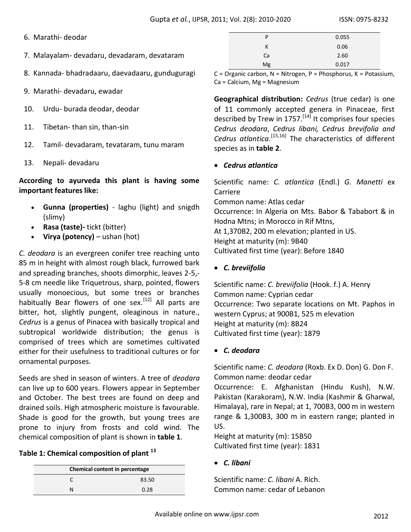- 6. Marathi- deodar
- 7. Malayalam- devadaru, devadaram, devataram
- 8. Kannada- bhadradaaru, daevadaaru, gunduguragi
- 9. Marathi- devadaru, ewadar
- 10. Urdu- burada deodar, deodar
- 11. Tibetan- than sin, than-sin
- 12. Tamil- devadaram, tevataram, tunu maram
- 13. Nepali- devadaru

**According to ayurveda this plant is having some important features like:**

- **Gunna (properties)** laghu (light) and snigdh (slimy)
- **Rasa (taste)-** tickt (bitter)
- **Virya (potency)** ushan (hot)

*C. deodara* is an evergreen conifer tree reaching unto 85 m in height with almost rough black, furrowed bark and spreading branches, shoots dimorphic, leaves 2-5,- 5-8 cm needle like Triquetrous, sharp, pointed, flowers usually monoecious, but some trees or branches habitually Bear flowers of one sex.<sup>[12]</sup> All parts are bitter, hot, slightly pungent, oleaginous in nature., *Cedrus* is a genus of Pinacea with basically tropical and subtropical worldwide distribution; the genus is comprised of trees which are sometimes cultivated either for their usefulness to traditional cultures or for ornamental purposes.

Seeds are shed in season of winters. A tree of *deodara* can live up to 600 years. Flowers appear in September and October. The best trees are found on deep and drained soils. High atmospheric moisture is favourable. Shade is good for the growth, but young trees are prone to injury from frosts and cold wind. The chemical composition of plant is shown in **table 1**.

# **Table 1: Chemical composition of plant <sup>13</sup>**

| Chemical content in percentage |       |  |
|--------------------------------|-------|--|
|                                | 83.50 |  |
|                                | 0.28  |  |

| P  | 0.055 |
|----|-------|
| к  | 0.06  |
| Ca | 2.60  |
| Mg | 0.017 |

C = Organic carbon, N = Nitrogen, P = Phosphorus, K = Potassium, Ca = Calcium, Mg = Magnesium

**Geographical distribution:** *Cedrus* (true cedar) is one of 11 commonly accepted genera in Pinaceae, first described by Trew in 1757.<sup>[14]</sup> It comprises four species *Cedrus deodara*, *Cedrus libani, Cedrus brevifolia and*  Cedrus atlantica.<sup>[15,16]</sup> The characteristics of different species as in **table 2**.

### *Cedrus atlantica*

Scientific name: *C. atlantica* (Endl.) *G. Manetti* ex Carriere Common name: Atlas cedar Occurrence: In Algeria on Mts. Babor & Tababort & in Hodna Mtns; in Morocco in Rif Mtns, At 1,370B2, 200 m elevation; planted in US. Height at maturity (m): 9B40 Cultivated first time (year): Before 1840

*C. breviifolia* 

Scientific name: *C. breviifolia* (Hook. f.) A. Henry Common name: Cyprian cedar Occurrence: Two separate locations on Mt. Paphos in western Cyprus; at 900B1, 525 m elevation Height at maturity (m): 8B24 Cultivated first time (year): 1879

*C. deodara* 

Scientific name: *C. deodara* (Roxb. Ex D. Don) G. Don F. Common name: deodar cedar Occurrence: E. Afghanistan (Hindu Kush), N.W. Pakistan (Karakoram), N.W. India (Kashmir & Gharwal,

Himalaya), rare in Nepal; at 1, 700B3, 000 m in western range & 1,300B3, 300 m in eastern range; planted in US.

Height at maturity (m): 15B50 Cultivated first time (year): 1831

*C. libani* 

Scientific name: *C. libani* A. Rich. Common name: cedar of Lebanon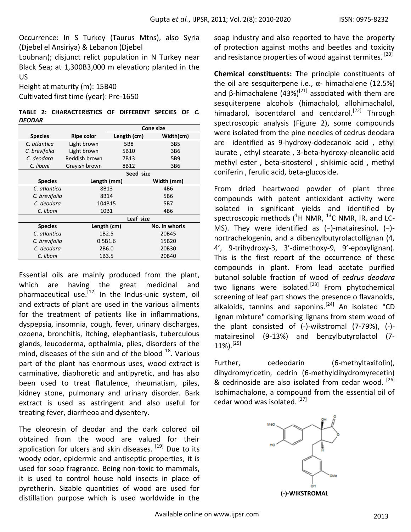Occurrence: In S Turkey (Taurus Mtns), also Syria (Djebel el Ansiriya) & Lebanon (Djebel

Loubnan); disjunct relict population in N Turkey near Black Sea; at 1,300B3,000 m elevation; planted in the US

Height at maturity (m): 15B40

Cultivated first time (year): Pre-1650

**TABLE 2: CHARACTERISTICS OF DIFFERENT SPECIES OF** *C. DEODAR*

|                |                   | <b>Cone size</b> |                 |  |
|----------------|-------------------|------------------|-----------------|--|
| <b>Species</b> | <b>Ripe color</b> | Length (cm)      | Width(cm)       |  |
| C. atlantica   | Light brown       | 5B8              | 3B5             |  |
| C. brevifolia  | Light brown       | 5B10             | 3B <sub>6</sub> |  |
| C. deodara     | Reddish brown     | 7B13             | 5B9             |  |
| C. libani      | Grayish brown     | 8B12             | 3B <sub>6</sub> |  |
|                | Seed size         |                  |                 |  |
| <b>Species</b> | Length (mm)       |                  | Width (mm)      |  |
| C. atlantica   | 8B13              |                  | 4B6             |  |
| C. brevifolia  | 8B14              |                  | 5B <sub>6</sub> |  |
| C. deodara     | 104B15            |                  | 5B7             |  |
| C. libani      | 10B1              |                  | 4B <sub>6</sub> |  |
|                | Leaf size         |                  |                 |  |
| <b>Species</b> | Length (cm)       |                  | No. in whorls   |  |
| C. atlantica   | 1B <sub>2.5</sub> |                  | 20B45           |  |
| C. brevifolia  | 0.5B1.6           |                  | 15B20           |  |
| C. deodara     | 2B6.0             |                  | 20B30           |  |
| C. libani      | 1B3.5             |                  | 20B40           |  |

Essential oils are mainly produced from the plant, which are having the great medicinal and pharmaceutical use. $[17]$  In the Indus-unic system, oil and extracts of plant are used in the various ailments for the treatment of patients like in inflammations, dyspepsia, insomnia, cough, fever, urinary discharges, ozoena, bronchitis, itching, elephantiasis, tuberculous glands, leucoderma, opthalmia, plies, disorders of the mind, diseases of the skin and of the blood  $^{18}$ . Various part of the plant has enormous uses, wood extract is carminative, diaphoretic and antipyretic, and has also been used to treat flatulence, rheumatism, piles, kidney stone, pulmonary and urinary disorder. Bark extract is used as astringent and also useful for treating fever, diarrheoa and dysentery.

The oleoresin of deodar and the dark colored oil obtained from the wood are valued for their application for ulcers and skin diseases. <sup>[19]</sup> Due to its woody odor, epidermic and antiseptic properties, it is used for soap fragrance. Being non-toxic to mammals, it is used to control house hold insects in place of pyretherin. Sizable quantities of wood are used for distillation purpose which is used worldwide in the

soap industry and also reported to have the property of protection against moths and beetles and toxicity and resistance properties of wood against termites.<sup>[20]</sup>

**Chemical constituents:** The principle constituents of the oil are sesquiterpene i.e.,  $α$ - himachalene (12.5%) and β-himachalene (43%)<sup>[21]</sup> associated with them are sesquiterpene alcohols (himachalol, allohimachalol, himadarol, isocentdarol and centdarol.<sup>[22]</sup> Through spectroscopic analysis (Figure 2), some compounds were isolated from the pine needles of cedrus deodara are identified as 9-hydroxy-dodecanoic acid , ethyl laurate , ethyl stearate , 3-beta-hydroxy-oleanolic acid methyl ester , beta-sitosterol , shikimic acid , methyl coniferin , ferulic acid, beta-glucoside.

From dried heartwood powder of plant three compounds with potent antioxidant activity were isolated in significant yields and identified by spectroscopic methods  $(^1H$  NMR,  $^{13}$ C NMR, IR, and LC-MS). They were identified as (−)-matairesinol, (−) nortrachelogenin, and a dibenzylbutyrolactollignan (4, 4', 9-trihydroxy-3, 3'-dimethoxy-9, 9'-epoxylignan). This is the first report of the occurrence of these compounds in plant. From lead acetate purified butanol soluble fraction of wood of *cedrus deodara* two lignans were isolated.<sup>[23]</sup> From phytochemical screening of leaf part shows the presence o flavanoids, alkaloids, tannins and saponins.<sup>[24]</sup> An isolated "CD lignan mixture" comprising lignans from stem wood of the plant consisted of (-)-wikstromal (7-79%), (-) matairesinol (9-13%) and benzylbutyrolactol (7-  $11\%$ ).<sup>[25]</sup>

Further, cedeodarin (6-methyltaxifolin), dihydromyricetin, cedrin (6-methyldihydromyrecetin) & cedrinoside are also isolated from cedar wood. [26] Isohimachalone, a compound from the essential oil of cedar wood was isolated. [27]



**(-)-WIKSTROMAL**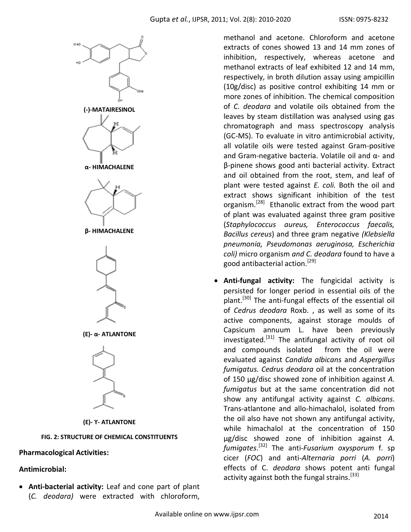

# **Pharmacological Activities:**

### **Antimicrobial:**

 **Anti-bacterial activity:** Leaf and cone part of plant (*C. deodara)* were extracted with chloroform,

methanol and acetone. Chloroform and acetone extracts of cones showed 13 and 14 mm zones of inhibition, respectively, whereas acetone and methanol extracts of leaf exhibited 12 and 14 mm, respectively, in broth dilution assay using ampicillin (10g/disc) as positive control exhibiting 14 mm or more zones of inhibition. The chemical composition of *C. deodara* and volatile oils obtained from the leaves by steam distillation was analysed using gas chromatograph and mass spectroscopy analysis (GC-MS). To evaluate in vitro antimicrobial activity, all volatile oils were tested against Gram-positive and Gram-negative bacteria. Volatile oil and α- and β-pinene shows good anti bacterial activity. Extract and oil obtained from the root, stem, and leaf of plant were tested against *E. coli.* Both the oil and extract shows significant inhibition of the test organism.[28] Ethanolic extract from the wood part of plant was evaluated against three gram positive (*Staphylococcus aureus, Enterococcus faecalis, Bacillus cereus*) and three gram negative *(Klebsiella pneumonia, Pseudomonas aeruginosa, Escherichia coli)* micro organism *and C. deodara* found to have a good antibacterial action.[29]

 **Anti-fungal activity:** The fungicidal activity is persisted for longer period in essential oils of the plant.<sup>[30]</sup> The anti-fungal effects of the essential oil of *Cedrus deodara* Roxb. , as well as some of its active components, against storage moulds of Capsicum annuum L. have been previously investigated.<sup>[31]</sup> The antifungal activity of root oil and compounds isolated from the oil were evaluated against *Candida albicans* and *Aspergillus fumigatus. Cedrus deodara* oil at the concentration of 150 μg/disc showed zone of inhibition against *A. fumigatus* but at the same concentration did not show any antifungal activity against *C. albicans*. Trans-atlantone and allo-himachalol, isolated from the oil also have not shown any antifungal activity, while himachalol at the concentration of 150 μg/disc showed zone of inhibition against *A. fumigates*. [32] The anti*-Fusarium oxysporum* f. sp cicer (*FOC*) and anti-*Alternaria porri* (*A. porri*) effects of C. *deodara* shows potent anti fungal activity against both the fungal strains.<sup>[33]</sup>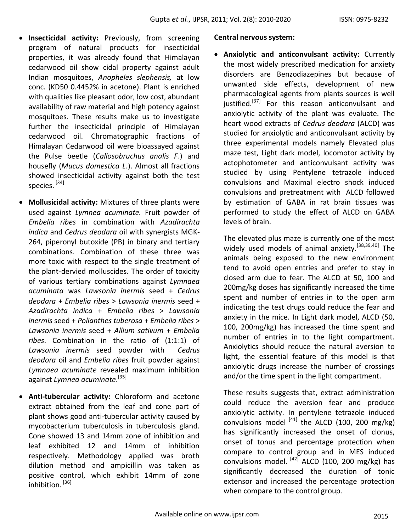- **•** Insecticidal activity: Previously, from screening program of natural products for insecticidal properties, it was already found that Himalayan cedarwood oil show cidal property against adult Indian mosquitoes, *Anopheles slephensis,* at low conc. (KD50 0.4452% in acetone). Plant is enriched with qualities like pleasant odor, low cost, abundant availability of raw material and high potency against mosquitoes. These results make us to investigate further the insecticidal principle of Himalayan cedarwood oil. Chromatographic fractions of Himalayan Cedarwood oil were bioassayed against the Pulse beetle (*Callosobruchus analis F*.) and housefly (*Mucus domestica L*.). Almost all fractions showed insecticidal activity against both the test species.<sup>[34]</sup>
- **Mollusicidal activity:** Mixtures of three plants were used against *Lymnea acuminate.* Fruit powder of *Embelia ribes* in combination with *Azadirachta indica* and *Cedrus deodara* oil with synergists MGK-264, piperonyl butoxide (PB) in binary and tertiary combinations. Combination of these three was more toxic with respect to the single treatment of the plant-dervied molluscides. The order of toxicity of various tertiary combinations against *Lymnaea acuminata* was *Lawsonia inermis* seed + *Cedrus deodara* + *Embelia ribes* > *Lawsonia inermis* seed + *Azadirachta indica* + *Embelia ribes* > *Lawsonia inermis* seed + *Polianthes tuberosa* + *Embelia ribes* > *Lawsonia inermis* seed + *Allium sativum* + *Embelia ribes*. Combination in the ratio of (1:1:1) of *Lawsonia inermis* seed powder with *Cedrus deodora* oil and *Embelia ribes* fruit powder against *Lymnaea acuminate* revealed maximum inhibition against *Lymnea acuminate*. [35]
- **Anti-tubercular activity:** Chloroform and acetone extract obtained from the leaf and cone part of plant shows good anti-tubercular activity caused by mycobacterium tuberculosis in tuberculosis gland. Cone showed 13 and 14mm zone of inhibition and leaf exhibited 12 and 14mm of inhibition respectively. Methodology applied was broth dilution method and ampicillin was taken as positive control, which exhibit 14mm of zone inhibition.<sup>[36]</sup>

### **Central nervous system:**

 **Anxiolytic and anticonvulsant activity:** Currently the most widely prescribed medication for anxiety disorders are Benzodiazepines but because of unwanted side effects, development of new pharmacological agents from plants sources is well justified.<sup>[37]</sup> For this reason anticonvulsant and anxiolytic activity of the plant was evaluate. The heart wood extracts of *Cedrus deodara* (ALCD) was studied for anxiolytic and anticonvulsant activity by three experimental models namely Elevated plus maze test, Light dark model, locomotor activity by actophotometer and anticonvulsant activity was studied by using Pentylene tetrazole induced convulsions and Maximal electro shock induced convulsions and pretreatment with ALCD followed by estimation of GABA in rat brain tissues was performed to study the effect of ALCD on GABA levels of brain.

The elevated plus maze is currently one of the most widely used models of animal anxiety.<sup>[38,39,40]</sup> The animals being exposed to the new environment tend to avoid open entries and prefer to stay in closed arm due to fear. The ALCD at 50, 100 and 200mg/kg doses has significantly increased the time spent and number of entries in to the open arm indicating the test drugs could reduce the fear and anxiety in the mice. In Light dark model, ALCD (50, 100, 200mg/kg) has increased the time spent and number of entries in to the light compartment. Anxiolytics should reduce the natural aversion to light, the essential feature of this model is that anxiolytic drugs increase the number of crossings and/or the time spent in the light compartment.

These results suggests that, extract administration could reduce the aversion fear and produce anxiolytic activity. In pentylene tetrazole induced convulsions model  $^{[41]}$  the ALCD (100, 200 mg/kg) has significantly increased the onset of clonus, onset of tonus and percentage protection when compare to control group and in MES induced convulsions model.  $^{[42]}$  ALCD (100, 200 mg/kg) has significantly decreased the duration of tonic extensor and increased the percentage protection when compare to the control group.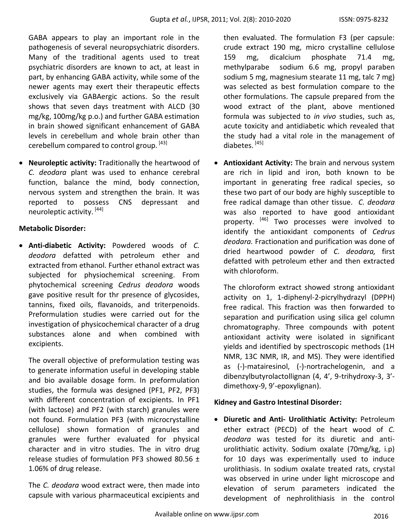GABA appears to play an important role in the pathogenesis of several neuropsychiatric disorders. Many of the traditional agents used to treat psychiatric disorders are known to act, at least in part, by enhancing GABA activity, while some of the newer agents may exert their therapeutic effects exclusively via GABAergic actions. So the result shows that seven days treatment with ALCD (30 mg/kg, 100mg/kg p.o.) and further GABA estimation in brain showed significant enhancement of GABA levels in cerebellum and whole brain other than cerebellum compared to control group. [43]

 **Neuroleptic activity:** Traditionally the heartwood of *C. deodara* plant was used to enhance cerebral function, balance the mind, body connection, nervous system and strengthen the brain. It was reported to possess CNS depressant and neuroleptic activity. [44]

# **Metabolic Disorder:**

 **Anti-diabetic Activity:** Powdered woods of *C. deodora* defatted with petroleum ether and extracted from ethanol. Further ethanol extract was subjected for physiochemical screening. From phytochemical screening *Cedrus deodora* woods gave positive result for thr presence of glycosides, tannins, fixed oils, flavanoids, and triterpenoids. Preformulation studies were carried out for the investigation of physicochemical character of a drug substances alone and when combined with excipients.

The overall objective of preformulation testing was to generate information useful in developing stable and bio available dosage form. In preformulation studies, the formula was designed (PF1, PF2, PF3) with different concentration of excipients. In PF1 (with lactose) and PF2 (with starch) granules were not found. Formulation PF3 (with microcrystalline cellulose) shown formation of granules and granules were further evaluated for physical character and in vitro studies. The in vitro drug release studies of formulation PF3 showed 80.56  $\pm$ 1.06% of drug release.

The *C. deodara* wood extract were, then made into capsule with various pharmaceutical excipients and

then evaluated. The formulation F3 (per capsule: crude extract 190 mg, micro crystalline cellulose 159 mg, dicalcium phosphate 71.4 mg, methylparabe sodium 6.6 mg, propyl paraben sodium 5 mg, magnesium stearate 11 mg, talc 7 mg) was selected as best formulation compare to the other formulations. The capsule prepared from the wood extract of the plant, above mentioned formula was subjected to *in vivo* studies, such as, acute toxicity and antidiabetic which revealed that the study had a vital role in the management of diabetes. [45]

 **Antioxidant Activity:** The brain and nervous system are rich in lipid and iron, both known to be important in generating free radical species, so these two part of our body are highly susceptible to free radical damage than other tissue. *C. deodara* was also reported to have good antioxidant property. <sup>[46]</sup> Two processes were involved to identify the antioxidant components of *Cedrus deodara.* Fractionation and purification was done of dried heartwood powder of *C. deodara,* first defatted with petroleum ether and then extracted with chloroform.

The chloroform extract showed strong antioxidant activity on 1, 1-diphenyl-2-picrylhydrazyl (DPPH) free radical. This fraction was then forwarded to separation and purification using silica gel column chromatography. Three compounds with potent antioxidant activity were isolated in significant yields and identified by spectroscopic methods (1H NMR, 13C NMR, IR, and MS). They were identified as (-)-matairesinol, (-)-nortrachelogenin, and a dibenzylbutyrolactollignan (4, 4', 9-trihydroxy-3, 3' dimethoxy-9, 9'-epoxylignan).

# **Kidney and Gastro Intestinal Disorder:**

 **Diuretic and Anti- Urolithiatic Activity:** Petroleum ether extract (PECD) of the heart wood of *C. deodara* was tested for its diuretic and antiurolithiatic activity. Sodium oxalate (70mg/kg, i.p) for 10 days was experimentally used to induce urolithiasis. In sodium oxalate treated rats, crystal was observed in urine under light microscope and elevation of serum parameters indicated the development of nephrolithiasis in the control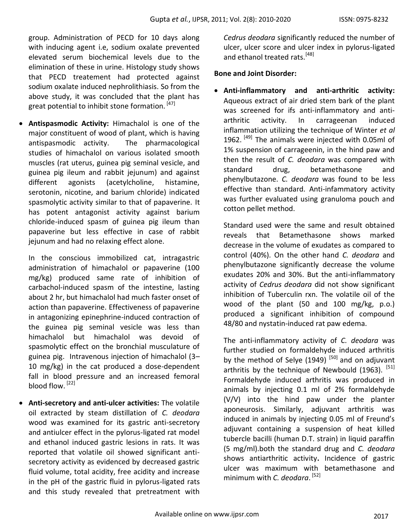group. Administration of PECD for 10 days along with inducing agent i.e, sodium oxalate prevented elevated serum biochemical levels due to the elimination of these in urine. Histology study shows that PECD treatement had protected against sodium oxalate induced nephrolithiasis. So from the above study, it was concluded that the plant has great potential to inhibit stone formation. [47]

 **Antispasmodic Activity:** Himachalol is one of the major constituent of wood of plant, which is having antispasmodic activity. The pharmacological studies of himachalol on various isolated smooth muscles (rat uterus, guinea pig seminal vesicle, and guinea pig ileum and rabbit jejunum) and against different agonists (acetylcholine, histamine, serotonin, nicotine, and barium chloride) indicated spasmolytic activity similar to that of papaverine. It has potent antagonist activity against barium chloride-induced spasm of guinea pig ileum than papaverine but less effective in case of rabbit jejunum and had no relaxing effect alone.

In the conscious immobilized cat, intragastric administration of himachalol or papaverine (100 mg/kg) produced same rate of inhibition of carbachol-induced spasm of the intestine, lasting about 2 hr, but himachalol had much faster onset of action than papaverine. Effectiveness of papaverine in antagonizing epinephrine-induced contraction of the guinea pig seminal vesicle was less than himachalol but himachalol was devoid of spasmolytic effect on the bronchial musculature of guinea pig. Intravenous injection of himachalol (3– 10 mg/kg) in the cat produced a dose-dependent fall in blood pressure and an increased femoral blood flow.<sup>[22]</sup>

 **Anti-secretory and anti-ulcer activities:** The volatile oil extracted by steam distillation of *C. deodara* wood was examined for its gastric anti-secretory and antiulcer effect in the pylorus-ligated rat model and ethanol induced gastric lesions in rats. It was reported that volatile oil showed significant antisecretory activity as evidenced by decreased gastric fluid volume, total acidity, free acidity and increase in the pH of the gastric fluid in pylorus-ligated rats and this study revealed that pretreatment with *Cedrus deodara* significantly reduced the number of ulcer, ulcer score and ulcer index in pylorus-ligated and ethanol treated rats.<sup>[48]</sup>

# **Bone and Joint Disorder:**

 **Anti-inflammatory and anti-arthritic activity:**  Aqueous extract of air dried stem bark of the plant was screened for ifs anti-inflammatory and antiarthritic activity. In carrageenan induced inflammation utilizing the technique of Winter *et al* 1962.  $[49]$  The animals were injected with 0.05ml of 1% suspension of carrageenin, in the hind paw and then the result of *C. deodara* was compared with standard drug, betamethasone and phenylbutazone. *C. deodara* was found to be less effective than standard. Anti-infammatory activity was further evaluated using granuloma pouch and cotton pellet method.

Standard used were the same and result obtained reveals that Betamethasone shows marked decrease in the volume of exudates as compared to control (40%). On the other hand *C. deodara* and phenylbutazone significantly decrease the volume exudates 20% and 30%. But the anti-inflammatory activity of *Cedrus deodara* did not show significant inhibition of Tuberculin rxn. The volatile oil of the wood of the plant (50 and 100 mg/kg, p.o.) produced a significant inhibition of compound 48/80 and nystatin-induced rat paw edema.

The anti-inflammatory activity of *C. deodara* was further studied on formaldehyde induced arthritis by the method of Selye (1949)  $[50]$  and on adjuvant arthritis by the technique of Newbould  $(1963)$ . [51] Formaldehyde induced arthritis was produced in animals by injecting 0.1 ml of 2% formaldehyde (V/V) into the hind paw under the planter aponeurosis. Similarly, adjuvant arthritis was induced in animals by injecting 0.05 ml of Freund's adjuvant containing a suspension of heat killed tubercle bacilli (human D.T. strain) in liquid paraffin (5 mg/ml).both the standard drug and *C. deodara* shows antiarthritic activity**.** Incidence of gastric ulcer was maximum with betamethasone and minimum with *C. deodara*. [52]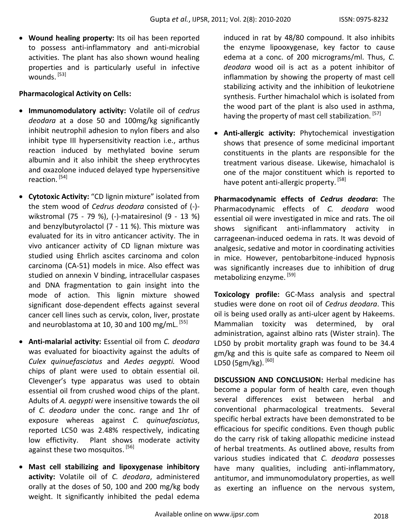**Wound healing property:** Its oil has been reported to possess anti-inflammatory and anti-microbial activities. The plant has also shown wound healing properties and is particularly useful in infective wounds. [53]

# **Pharmacological Activity on Cells:**

- **Immunomodulatory activity:** Volatile oil of *cedrus deodara* at a dose 50 and 100mg/kg significantly inhibit neutrophil adhesion to nylon fibers and also inhibit type III hypersensitivity reaction i.e., arthus reaction induced by methylated bovine serum albumin and it also inhibit the sheep erythrocytes and oxazolone induced delayed type hypersensitive reaction.<sup>[54]</sup>
- **Cytotoxic Activity:** "CD lignin mixture" isolated from the stem wood of *Cedrus deodara* consisted of (-) wikstromal (75 - 79 %), (-)-matairesinol (9 - 13 %) and benzylbutyrolactol (7 - 11 %). This mixture was evaluated for its in vitro anticancer activity. The in vivo anticancer activity of CD lignan mixture was studied using Ehrlich ascites carcinoma and colon carcinoma (CA-51) models in mice. Also effect was studied on annexin V binding, intracellular caspases and DNA fragmentation to gain insight into the mode of action. This lignin mixture showed significant dose-dependent effects against several cancer cell lines such as cervix, colon, liver, prostate and neuroblastoma at 10, 30 and 100 mg/mL.<sup>[55]</sup>
- **Anti-malarial activity:** Essential oil from *C. deodara*  was evaluated for bioactivity against the adults of *Culex quinuefasciatus* and *Aedes aegypti.* Wood chips of plant were used to obtain essential oil*.*  Clevenger's type apparatus was used to obtain essential oil from crushed wood chips of the plant. Adults of *A. aegypti* were insensitive towards the oil of *C. deodara* under the conc. range and 1hr of exposure whereas against *C. quinuefasciatus*, reported LC50 was 2.48% respectively, indicating low effictivity. Plant shows moderate activity against these two mosquitos. [56]
- **Mast cell stabilizing and lipoxygenase inhibitory activity:** Volatile oil of *C. deodara*, administered orally at the doses of 50, 100 and 200 mg/kg body weight. It significantly inhibited the pedal edema

induced in rat by 48/80 compound. It also inhibits the enzyme lipooxygenase, key factor to cause edema at a conc. of 200 micrograms/ml. Thus, *C. deodara* wood oil is act as a potent inhibitor of inflammation by showing the property of mast cell stabilizing activity and the inhibition of leukotriene synthesis. Further himachalol which is isolated from the wood part of the plant is also used in asthma, having the property of mast cell stabilization. [57]

 **Anti-allergic activity:** Phytochemical investigation shows that presence of some medicinal important constituents in the plants are responsible for the treatment various disease. Likewise, himachalol is one of the major constituent which is reported to have potent anti-allergic property. [58]

**Pharmacodynamic effects of** *Cedrus deodara***:** The Pharmacodynamic effects of *C. deodara* wood essential oil were investigated in mice and rats. The oil shows significant anti-inflammatory activity carrageenan-induced oedema in rats. It was devoid of analgesic, sedative and motor in coordinating activities in mice. However, pentobarbitone-induced hypnosis was significantly increases due to inhibition of drug metabolizing enzyme.<sup>[59]</sup>

**Toxicology profile:** GC-Mass analysis and spectral studies were done on root oil of *Cedrus deodara*. This oil is being used orally as anti-ulcer agent by Hakeems. Mammalian toxicity was determined, by oral administration, against albino rats (Wister strain). The LD50 by probit mortality graph was found to be 34.4 gm/kg and this is quite safe as compared to Neem oil LD50 (5gm/kg). [60]

**DISCUSSION AND CONCLUSION:** Herbal medicine has become a popular form of health care, even though several differences exist between herbal and conventional pharmacological treatments. Several specific herbal extracts have been demonstrated to be efficacious for specific conditions. Even though public do the carry risk of taking allopathic medicine instead of herbal treatments. As outlined above, results from various studies indicated that *C. deodara* possesses have many qualities, including anti-inflammatory, antitumor, and immunomodulatory properties, as well as exerting an influence on the nervous system,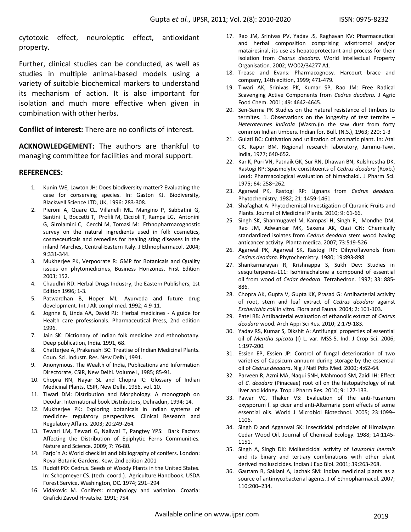cytotoxic effect, neuroleptic effect, antioxidant property.

Further, clinical studies can be conducted, as well as studies in multiple animal-based models using a variety of suitable biochemical markers to understand its mechanism of action. It is also important for isolation and much more effective when given in combination with other herbs.

**Conflict of interest:** There are no conflicts of interest.

**ACKNOWLEDGEMENT:** The authors are thankful to managing committee for facilities and moral support.

### **REFERENCES:**

- 1. Kunin WE, Lawton JH: Does biodiversity matter? Evaluating the case for conserving species. In: Gaston KJ. Biodiversity, Blackwell Science LTD, UK, 1996: 283-308.
- 2. Pieroni A, Quare CL, Villanelli ML, Mangino P, Sabbatini G, Santini L, Boccetti T, Profili M, Ciccioli T, Rampa LG, Antonini G, Girolamini C, Cecchi M, Tomasi M: Ethnopharmacognostic survey on the natural ingredients used in folk cosmetics, cosmeceuticals and remedies for healing sting diseases in the inland Marches, Central-Eastern Italy. J Ethnopharmacol. 2004; 9:331-344.
- 3. Mukherjee PK, Verpoorate R: GMP for Botanicals and Quality issues on phytomedicines, Business Horizones. First Edition 2003; 152.
- 4. Chaudhri RD: Herbal Drugs Industry, the Eastern Publishers, 1st Edition 1996; 1-3.
- 5. Patwardhan B, Hoper ML: Ayurveda and future drug development. Int J Alt compl med. 1992; 4:9-11.
- 6. Jognne B, Linda AA, David PJ: Herbal medicines A guide for Health care professionals. Pharmaceutical Press, 2nd edition 1996.
- 7. Jain SK: Dictionary of Indian folk medicine and ethnobotany. Deep publication, India. 1991, 68.
- 8. Chatterjee A, Prakarashi SC: Treatise of Indian Medicinal Plants. Coun. Sci. Industr. Res. New Delhi, 1991.
- 9. Anonymous. The Wealth of India, Publications and Information Directorate, CSIR, New Delhi. Volume I, 1985; 85-91.
- 10. Chopra RN, Nayar SL and Chopra IC: Glossary of Indian Medicinal Plants, CSIR, New Delhi, 1956, vol. 10.
- 11. Tiwari DM: Distribution and Morphology: A monograph on Deodar. International book Distributors, Dehradun, 1994; 14.
- 12. Mukherjee PK: Exploring botanicals in Indian systems of medicine- regulatory perspectives. Clinical Research and Regulatory Affairs. 2003; 20:249-264.
- 13. Tewari LM, Tewari G, Nailwal T, Pangtey YPS: Bark Factors Affecting the Distribution of Epiphytic Ferns Communities. Nature and Science. 2009; 7: 76-80.
- 14. Farjo´n A: World checklist and bibliography of conifers. London: Royal Botanic Gardens. Kew. 2nd edition 2001
- 15. Rudolf PO: Cedrus. Seeds of Woody Plants in the United States. In: Schopmeyer CS. (tech. coord.). Agriculture Handbook. USDA Forest Service, Washington, DC. 1974; 291–294
- 16. Vidakovic M. Conifers: morphology and variation. Croatia: Graficki Zavod Hrvatske. 1991; 754.
- 17. Rao JM, Srinivas PV, Yadav JS, Raghavan KV: Pharmaceutical and herbal composition comprising wikstromol and/or matairesinal, its use as hepatoprotectant and process for their isolation from *Cedrus deodara*. World Intellectual Property Organisation. 2002; WO02/34277 A1.
- 18. Trease and Evans: Pharmacognosy. Harcourt brace and company, 14th edition, 1999; 471-479.
- 19. Tiwari AK, Srinivas PK, Kumar SP, Rao JM: Free Radical Scavenging Active Components from *Cedrus deodara.* J Agric Food Chem. 2001; 49: 4642-4645.
- 20. Sen-Sarma PK Studies on the natural resistance of timbers to termites. 1. Observations on the longevity of test termite – *Heterotermes indicola* (Wasm.)in the saw dust from forty common Indian timbers*.* Indian for. Bull. (N.S.), 1963; 220: 1-3
- 21. Gulati BC: Cultivation and utilization of aromatic plant. In: Atal CK, Kapur BM. Regional research laboratory, Jammu-Tawi, India, 1977; 640-652.
- 22. Kar K, Puri VN, Patnaik GK, Sur RN, Dhawan BN, Kulshrestha DK, Rastogi RP: Spasmolytic constituents of *Cedrus deodara* (Roxb.) Loud: Pharmacological evaluation of himachalol. J Pharm Sci. 1975; 64: 258–262.
- 23. Agarwal PK, Rastogi RP: Lignans from *Cedrus deodara.* Phytochemistry. 1982; 21: 1459-1461.
- 24. Shafaghat A: Phytochemical Investigation of Quranic Fruits and Plants. Journal of Medicinal Plants. 2010; 9: 61-66.
- 25. Singh SK, Shanmugavel M, Kampasi H, Singh R, Mondhe DM, Rao JM, Adwankar MK, Saxena AK, Qazi GN: Chemically standardized isolates from *Cedrus deodara* stem wood having anticancer activity. Planta medica. 2007; 73:519-526
- 26. Agarwal PK, Agarwal SK, Rastogi RP: Dihyroflavonols from *Cedrus deodara*. Phytochemistry. 1980; 19:893-898.
- 27. Shankarnarayan R, Krishnappa S, Sukh Dev: Studies in sesquiterpenes-L11: Isohimachalone a compound of essential oil from wood of *Cedar deodara*. Tetrahedron. 1997; 33: 885- 886.
- 28. Chopra AK, Gupta V, Gupta KK, Prasad G: Antibacterial activity of root, stem and leaf extract of *Cedrus deodara* against *Escherichia coli* in vitro. Flora and Fauna. 2004; 2: 101-103.
- 29. Patel RB: Antibacterial evaluation of ethanolic extract of *Cedrus deodara* wood. Arch Appi Sci Res. 2010; 2:179-183.
- 30. Yadav RS, Kumar S, Dikshit A: Antifungal properties of essential oil of *Mentha spicata* (I) L. var. MSS-5. Ind. J Crop Sci. 2006; 1:197-200.
- 31. Essien EP, Essien JP: Control of fungal deterioration of two varieties of Capsicum annuum during storage by the essential oil of *Cedrus deodara*. Nig J Natl Pdts Med. 2000; 4:62-64.
- 32. Parveen R, Azmi MA, Naqui SNH, Mahmood SM, Zaidi IH: Effect of *C. deodara* (Pinaceae) root oil on the histopathology of rat liver and kidney. Trop J Pharm Res. 2010; 9: 127-133.
- 33. Pawar VC, Thaker VS: Evaluation of the anti-Fusarium oxysporum f. sp cicer and anti-Alternaria porri effects of some essential oils. World J Microbiol Biotechnol. 2005; 23:1099– 1106.
- 34. Singh D and Aggarwal SK: Insecticidal principles of Himalayan Cedar Wood Oil. Journal of Chemical Ecology. 1988; 14:1145- 1151.
- 35. Singh A, Singh DK: Molluscicidal activity of *Lawsonia inermis*  and its binary and tertiary combinations with other plant derived molluscicides. Indian J Exp Biol. 2001; 39:263-268.
- 36. Gautam R, Saklani A, Jachak SM: Indian medicinal plants as a source of antimycobacterial agents. J of Ethnopharmacol. 2007; 110:200–234.